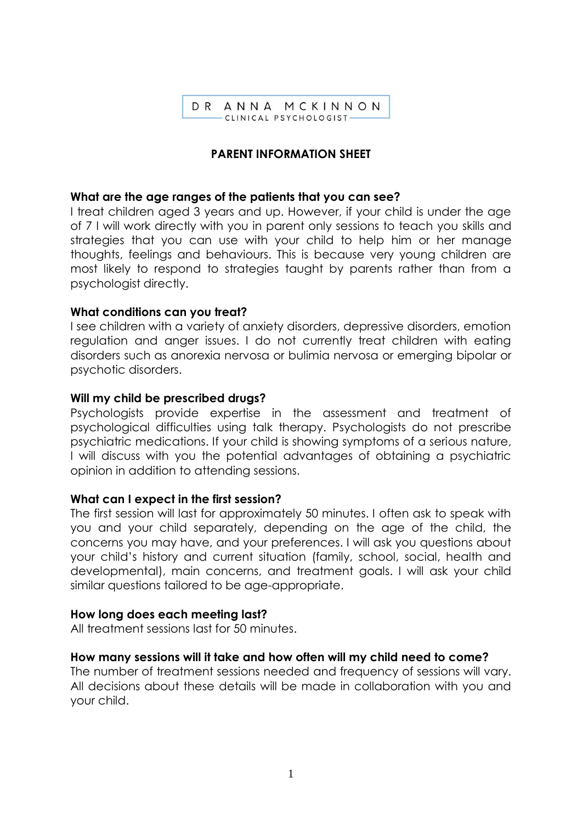

# **PARENT INFORMATION SHEET**

### **What are the age ranges of the patients that you can see?**

I treat children aged 3 years and up. However, if your child is under the age of 7 I will work directly with you in parent only sessions to teach you skills and strategies that you can use with your child to help him or her manage thoughts, feelings and behaviours. This is because very young children are most likely to respond to strategies taught by parents rather than from a psychologist directly.

### **What conditions can you treat?**

I see children with a variety of anxiety disorders, depressive disorders, emotion regulation and anger issues. I do not currently treat children with eating disorders such as anorexia nervosa or bulimia nervosa or emerging bipolar or psychotic disorders.

### **Will my child be prescribed drugs?**

Psychologists provide expertise in the assessment and treatment of psychological difficulties using talk therapy. Psychologists do not prescribe psychiatric medications. If your child is showing symptoms of a serious nature, I will discuss with you the potential advantages of obtaining a psychiatric opinion in addition to attending sessions.

#### **What can I expect in the first session?**

The first session will last for approximately 50 minutes. I often ask to speak with you and your child separately, depending on the age of the child, the concerns you may have, and your preferences. I will ask you questions about your child's history and current situation (family, school, social, health and developmental), main concerns, and treatment goals. I will ask your child similar questions tailored to be age-appropriate.

#### **How long does each meeting last?**

All treatment sessions last for 50 minutes.

## **How many sessions will it take and how often will my child need to come?**

The number of treatment sessions needed and frequency of sessions will vary. All decisions about these details will be made in collaboration with you and your child.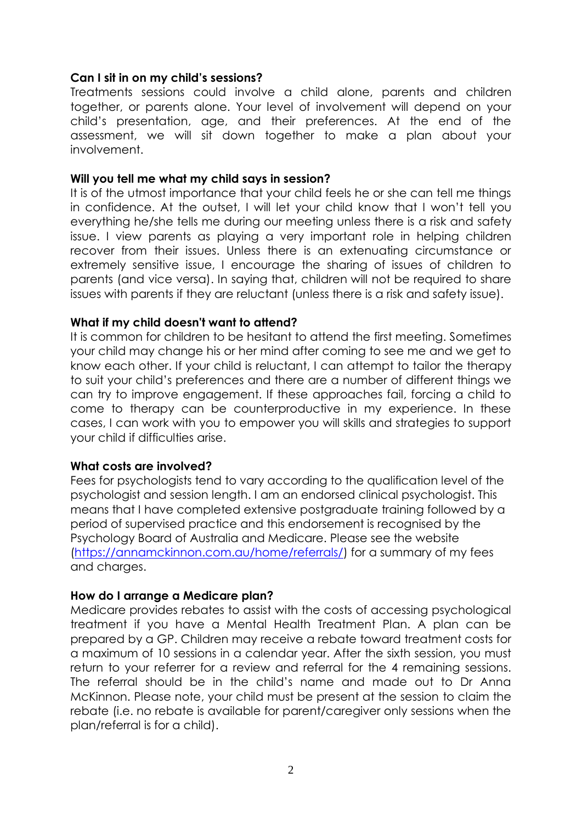## **Can I sit in on my child's sessions?**

Treatments sessions could involve a child alone, parents and children together, or parents alone. Your level of involvement will depend on your child's presentation, age, and their preferences. At the end of the assessment, we will sit down together to make a plan about your involvement.

### **Will you tell me what my child says in session?**

It is of the utmost importance that your child feels he or she can tell me things in confidence. At the outset, I will let your child know that I won't tell you everything he/she tells me during our meeting unless there is a risk and safety issue. I view parents as playing a very important role in helping children recover from their issues. Unless there is an extenuating circumstance or extremely sensitive issue, I encourage the sharing of issues of children to parents (and vice versa). In saying that, children will not be required to share issues with parents if they are reluctant (unless there is a risk and safety issue).

### **What if my child doesn't want to attend?**

It is common for children to be hesitant to attend the first meeting. Sometimes your child may change his or her mind after coming to see me and we get to know each other. If your child is reluctant, I can attempt to tailor the therapy to suit your child's preferences and there are a number of different things we can try to improve engagement. If these approaches fail, forcing a child to come to therapy can be counterproductive in my experience. In these cases, I can work with you to empower you will skills and strategies to support your child if difficulties arise.

## **What costs are involved?**

Fees for psychologists tend to vary according to the qualification level of the psychologist and session length. I am an endorsed clinical psychologist. This means that I have completed extensive postgraduate training followed by a period of supervised practice and this endorsement is recognised by the Psychology Board of Australia and Medicare. Please see the website [\(https://annamckinnon.com.au/home/referrals/\)](https://annamckinnon.com.au/home/referrals/) for a summary of my fees and charges.

## **How do I arrange a Medicare plan?**

Medicare provides rebates to assist with the costs of accessing psychological treatment if you have a Mental Health Treatment Plan. A plan can be prepared by a GP. Children may receive a rebate toward treatment costs for a maximum of 10 sessions in a calendar year. After the sixth session, you must return to your referrer for a review and referral for the 4 remaining sessions. The referral should be in the child's name and made out to Dr Anna McKinnon. Please note, your child must be present at the session to claim the rebate (i.e. no rebate is available for parent/caregiver only sessions when the plan/referral is for a child).